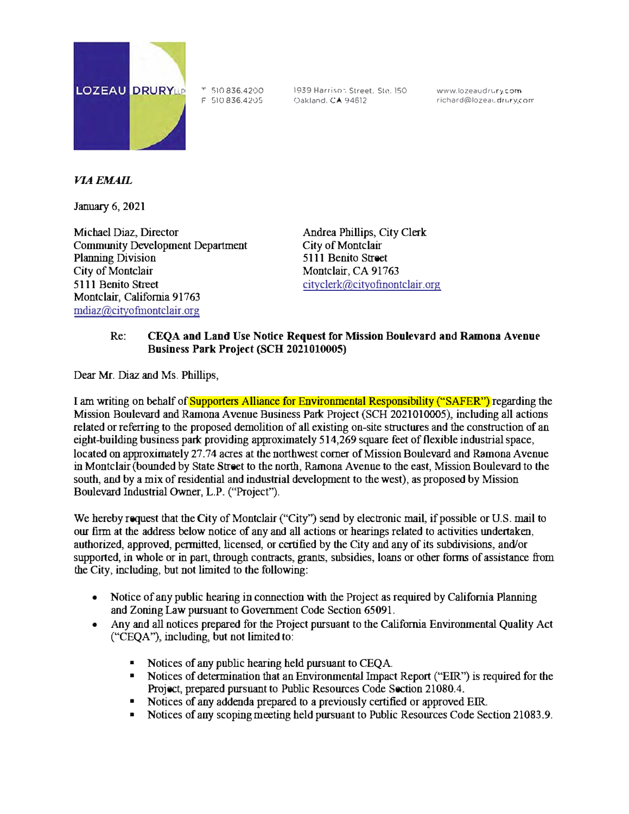

<sup>T</sup>S10836.4200 F 510 836.42•)5 1939 Harrison Street. Ste. 150 Oakland. CA 94612

www.lozeaudrury.com richard@lozeau.drury.com

## *J/IAEMAIL*

January 6, 2021

Michael Diaz, Director Comnnmity Development Department Planning Division City of Montclair 5111 Benito Street Montclair, California 91763 mdiaz@cityofmontclair.org

Andrea Phillips, City Clerk City of Montclair 5111 Benito Street Montclair, CA 91763 cityclerk@cityofinontclair.org

## Re: CEQA and Land Use Notice Request for Mission Boulevard and Ramona Avenue Businrss **Park** Project (SCH 2021010005)

Dear Mr. Diaz and Ms. Phillips,

I am writing on behalf of Supporters Alliance for Environmental Responsibility ("SAFER") regarding the Mission Boulevard and Ramona Avenue Business Park Project (SCH 2021010005), including all actions related or referring to the proposed demolition of all existing on-site structures and the construction of an eight-building business park providing approximately 514,269 square feet of flexible industrial space, located on approximately 27.74 acres at the northwest comer of Mission Boulevard and Ramona Avenue in Montclair (bounded by State Street to the north, Ramona A venue to the east, Mission Boulevard to the south, and by a mix of residential and industrial development to the west), as proposed by Mission Boulevard Industrial Owner, L.P. ("Project").

We hereby request that the City of Montclair ("City") send by electronic mail, if possible or U.S. mail to our firm at the address below notice of any and all actions or hearings related to activities undertaken, authorized, approved, permitted, licensed, or certified by the City and any of its subdivisions, and/or supported, in whole or in part, through contracts, grants, subsidies, loans or other forms of assistance from the City, including, but not limited to the following:

- Notice of any public hearing in connection with the Project as required by California Planning and Zoning Law pursuant to Government Code Section 65091.
- Any and all notices prepared for the Project pursuant to the California Environmental Quality Act ("CEQA"), including, but not limited to:
	- Notices of any public hearing held pursuant to CEQA.
	- Notices of determination that an Environmental Impact Report ("EIR") is required for the Project, prepared pursuant to Public Resources Code Section 21080.4.
	- Notices of any addenda prepared to a previously certified or approved EIR.
	- Notices of any scoping meeting held pursuant to Public Resources Code Section 21083.9.